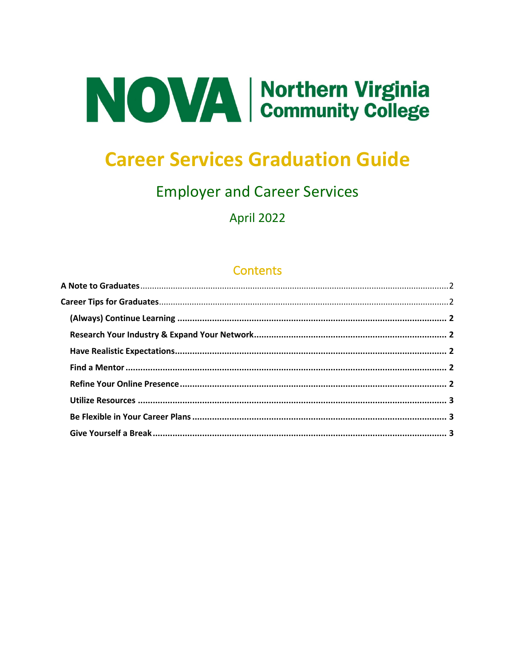

# **Career Services Graduation Guide**

## **Employer and Career Services**

**April 2022** 

### **Contents**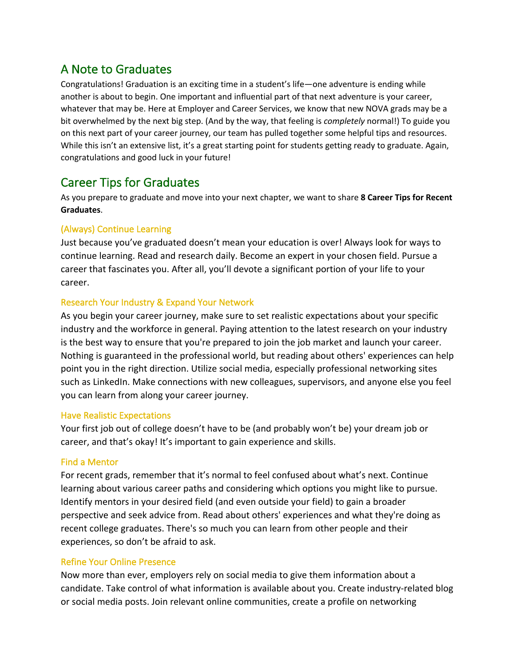## A Note to Graduates

Congratulations! Graduation is an exciting time in a student's life—one adventure is ending while another is about to begin. One important and influential part of that next adventure is your career, whatever that may be. Here at Employer and Career Services, we know that new NOVA grads may be a bit overwhelmed by the next big step. (And by the way, that feeling is *completely* normal!) To guide you on this next part of your career journey, our team has pulled together some helpful tips and resources. While this isn't an extensive list, it's a great starting point for students getting ready to graduate. Again, congratulations and good luck in your future!

## Career Tips for Graduates

As you prepare to graduate and move into your next chapter, we want to share **8 Career Tips for Recent Graduates**.

#### (Always) Continue Learning

Just because you've graduated doesn't mean your education is over! Always look for ways to continue learning. Read and research daily. Become an expert in your chosen field. Pursue a career that fascinates you. After all, you'll devote a significant portion of your life to your career.

#### Research Your Industry & Expand Your Network

As you begin your career journey, make sure to set realistic expectations about your specific industry and the workforce in general. Paying attention to the latest research on your industry is the best way to ensure that you're prepared to join the job market and launch your career. Nothing is guaranteed in the professional world, but reading about others' experiences can help point you in the right direction. Utilize social media, especially professional networking sites such as LinkedIn. Make connections with new colleagues, supervisors, and anyone else you feel you can learn from along your career journey.

#### Have Realistic Expectations

Your first job out of college doesn't have to be (and probably won't be) your dream job or career, and that's okay! It's important to gain experience and skills.

#### Find a Mentor

For recent grads, remember that it's normal to feel confused about what's next. Continue learning about various career paths and considering which options you might like to pursue. Identify mentors in your desired field (and even outside your field) to gain a broader perspective and seek advice from. Read about others' experiences and what they're doing as recent college graduates. There's so much you can learn from other people and their experiences, so don't be afraid to ask.

#### Refine Your Online Presence

Now more than ever, employers rely on social media to give them information about a candidate. Take control of what information is available about you. Create industry-related blog or social media posts. Join relevant online communities, create a profile on networking